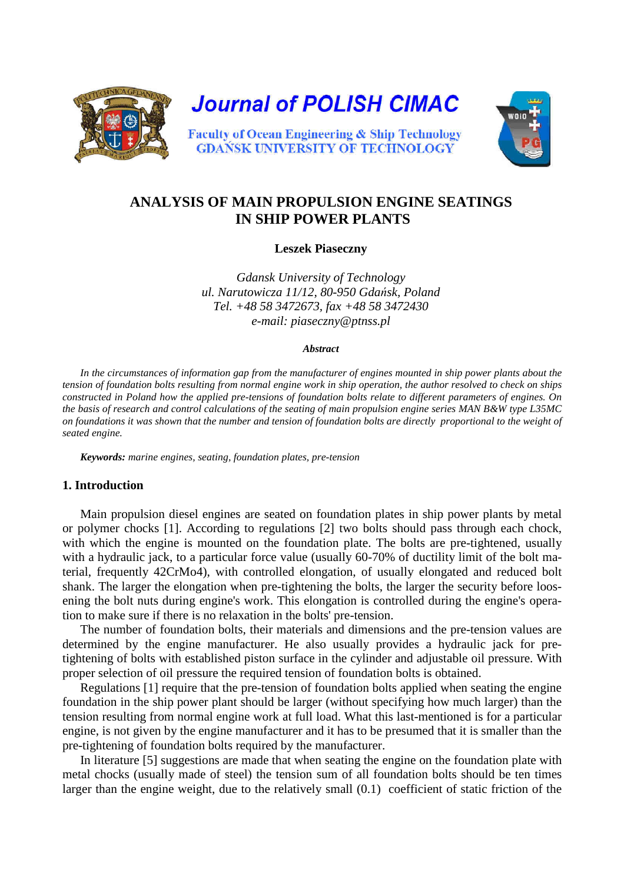

# **ANALYSIS OF MAIN PROPULSION ENGINE SEATINGS IN SHIP POWER PLANTS**

**Leszek Piaseczny** 

*Gdansk University of Technology ul. Narutowicza 11/12, 80-950 Gdańsk, Poland Tel. +48 58 3472673, fax +48 58 3472430 e-mail: piaseczny@ptnss.pl* 

#### *Abstract*

In the circumstances of information gap from the manufacturer of engines mounted in ship power plants about the *tension of foundation bolts resulting from normal engine work in ship operation, the author resolved to check on ships constructed in Poland how the applied pre-tensions of foundation bolts relate to different parameters of engines. On the basis of research and control calculations of the seating of main propulsion engine series MAN B&W type L35MC on foundations it was shown that the number and tension of foundation bolts are directly proportional to the weight of seated engine.* 

*Keywords: marine engines, seating, foundation plates, pre-tension* 

### **1. Introduction**

Main propulsion diesel engines are seated on foundation plates in ship power plants by metal or polymer chocks [1]. According to regulations [2] two bolts should pass through each chock, with which the engine is mounted on the foundation plate. The bolts are pre-tightened, usually with a hydraulic jack, to a particular force value (usually 60-70% of ductility limit of the bolt material, frequently 42CrMo4), with controlled elongation, of usually elongated and reduced bolt shank. The larger the elongation when pre-tightening the bolts, the larger the security before loosening the bolt nuts during engine's work. This elongation is controlled during the engine's operation to make sure if there is no relaxation in the bolts' pre-tension.

The number of foundation bolts, their materials and dimensions and the pre-tension values are determined by the engine manufacturer. He also usually provides a hydraulic jack for pretightening of bolts with established piston surface in the cylinder and adjustable oil pressure. With proper selection of oil pressure the required tension of foundation bolts is obtained.

Regulations [1] require that the pre-tension of foundation bolts applied when seating the engine foundation in the ship power plant should be larger (without specifying how much larger) than the tension resulting from normal engine work at full load. What this last-mentioned is for a particular engine, is not given by the engine manufacturer and it has to be presumed that it is smaller than the pre-tightening of foundation bolts required by the manufacturer.

In literature [5] suggestions are made that when seating the engine on the foundation plate with metal chocks (usually made of steel) the tension sum of all foundation bolts should be ten times larger than the engine weight, due to the relatively small (0.1) coefficient of static friction of the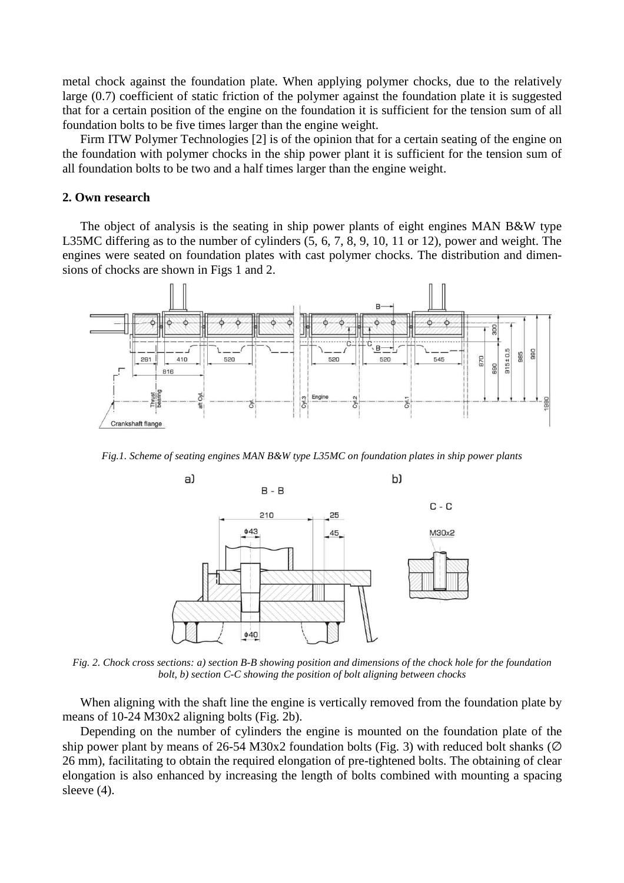metal chock against the foundation plate. When applying polymer chocks, due to the relatively large (0.7) coefficient of static friction of the polymer against the foundation plate it is suggested that for a certain position of the engine on the foundation it is sufficient for the tension sum of all foundation bolts to be five times larger than the engine weight.

Firm ITW Polymer Technologies [2] is of the opinion that for a certain seating of the engine on the foundation with polymer chocks in the ship power plant it is sufficient for the tension sum of all foundation bolts to be two and a half times larger than the engine weight.

#### **2. Own research**

The object of analysis is the seating in ship power plants of eight engines MAN B&W type L35MC differing as to the number of cylinders (5, 6, 7, 8, 9, 10, 11 or 12), power and weight. The engines were seated on foundation plates with cast polymer chocks. The distribution and dimensions of chocks are shown in Figs 1 and 2.



*Fig.1. Scheme of seating engines MAN B&W type L35MC on foundation plates in ship power plants* 



*Fig. 2. Chock cross sections: a) section B-B showing position and dimensions of the chock hole for the foundation bolt, b) section C-C showing the position of bolt aligning between chocks* 

When aligning with the shaft line the engine is vertically removed from the foundation plate by means of 10-24 M30x2 aligning bolts (Fig. 2b).

Depending on the number of cylinders the engine is mounted on the foundation plate of the ship power plant by means of 26-54 M30x2 foundation bolts (Fig. 3) with reduced bolt shanks ( $\varnothing$ 26 mm), facilitating to obtain the required elongation of pre-tightened bolts. The obtaining of clear elongation is also enhanced by increasing the length of bolts combined with mounting a spacing sleeve  $(4)$ .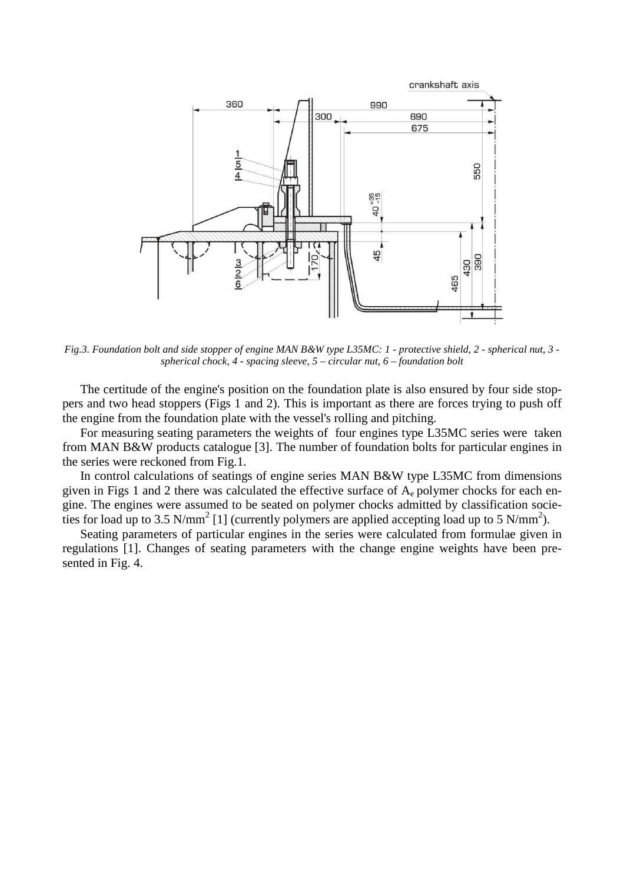

*Fig.3. Foundation bolt and side stopper of engine MAN B&W type L35MC: 1 - protective shield, 2 - spherical nut, 3 spherical chock, 4 - spacing sleeve, 5 – circular nut, 6 – foundation bolt* 

The certitude of the engine's position on the foundation plate is also ensured by four side stoppers and two head stoppers (Figs 1 and 2). This is important as there are forces trying to push off the engine from the foundation plate with the vessel's rolling and pitching.

For measuring seating parameters the weights of four engines type L35MC series were taken from MAN B&W products catalogue [3]. The number of foundation bolts for particular engines in the series were reckoned from Fig.1.

In control calculations of seatings of engine series MAN B&W type L35MC from dimensions given in Figs 1 and 2 there was calculated the effective surface of  $A<sub>e</sub>$  polymer chocks for each engine. The engines were assumed to be seated on polymer chocks admitted by classification societies for load up to 3.5 N/mm<sup>2</sup> [1] (currently polymers are applied accepting load up to 5 N/mm<sup>2</sup>).

Seating parameters of particular engines in the series were calculated from formulae given in regulations [1]. Changes of seating parameters with the change engine weights have been presented in Fig. 4.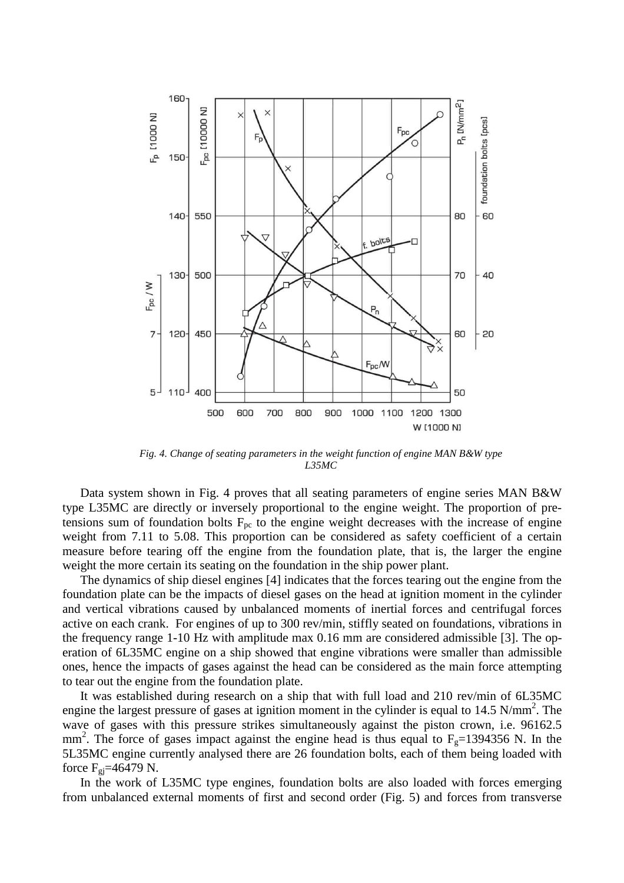

*Fig. 4. Change of seating parameters in the weight function of engine MAN B&W type L35MC* 

Data system shown in Fig. 4 proves that all seating parameters of engine series MAN B&W type L35MC are directly or inversely proportional to the engine weight. The proportion of pretensions sum of foundation bolts  $F_{pc}$  to the engine weight decreases with the increase of engine weight from 7.11 to 5.08. This proportion can be considered as safety coefficient of a certain measure before tearing off the engine from the foundation plate, that is, the larger the engine weight the more certain its seating on the foundation in the ship power plant.

The dynamics of ship diesel engines [4] indicates that the forces tearing out the engine from the foundation plate can be the impacts of diesel gases on the head at ignition moment in the cylinder and vertical vibrations caused by unbalanced moments of inertial forces and centrifugal forces active on each crank. For engines of up to 300 rev/min, stiffly seated on foundations, vibrations in the frequency range 1-10 Hz with amplitude max 0.16 mm are considered admissible [3]. The operation of 6L35MC engine on a ship showed that engine vibrations were smaller than admissible ones, hence the impacts of gases against the head can be considered as the main force attempting to tear out the engine from the foundation plate.

It was established during research on a ship that with full load and 210 rev/min of 6L35MC engine the largest pressure of gases at ignition moment in the cylinder is equal to  $14.5 \text{ N/mm}^2$ . The wave of gases with this pressure strikes simultaneously against the piston crown, i.e. 96162.5 mm<sup>2</sup>. The force of gases impact against the engine head is thus equal to  $F<sub>g</sub>=1394356$  N. In the 5L35MC engine currently analysed there are 26 foundation bolts, each of them being loaded with force  $F_{gi}$ =46479 N.

In the work of L35MC type engines, foundation bolts are also loaded with forces emerging from unbalanced external moments of first and second order (Fig. 5) and forces from transverse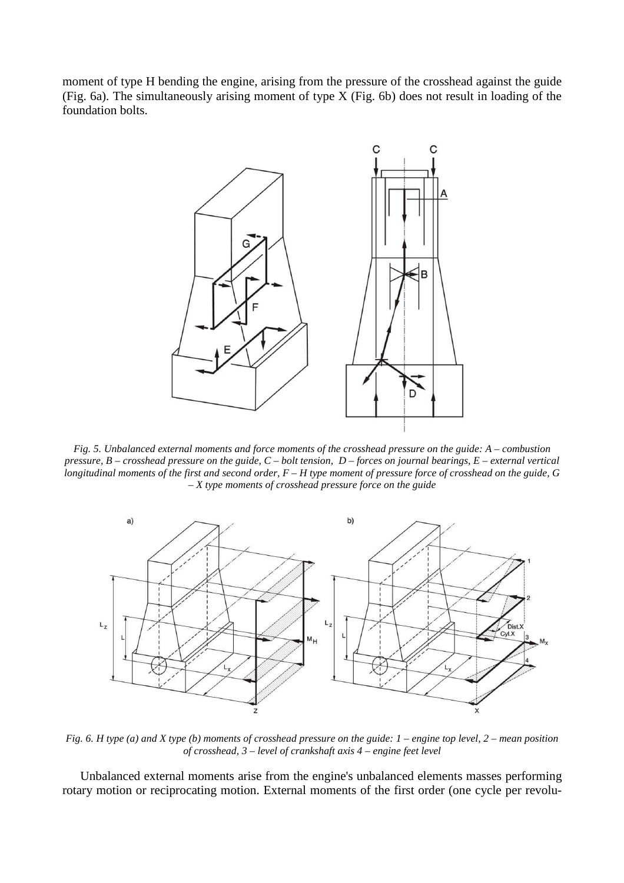moment of type H bending the engine, arising from the pressure of the crosshead against the guide (Fig. 6a). The simultaneously arising moment of type X (Fig. 6b) does not result in loading of the foundation bolts.



*Fig. 5. Unbalanced external moments and force moments of the crosshead pressure on the guide: A – combustion pressure, B – crosshead pressure on the guide, C – bolt tension, D – forces on journal bearings, E – external vertical longitudinal moments of the first and second order, F – H type moment of pressure force of crosshead on the guide, G – X type moments of crosshead pressure force on the guide* 



*Fig. 6. H type (a) and X type (b) moments of crosshead pressure on the guide: 1 – engine top level, 2 – mean position of crosshead, 3 – level of crankshaft axis 4 – engine feet level* 

Unbalanced external moments arise from the engine's unbalanced elements masses performing rotary motion or reciprocating motion. External moments of the first order (one cycle per revolu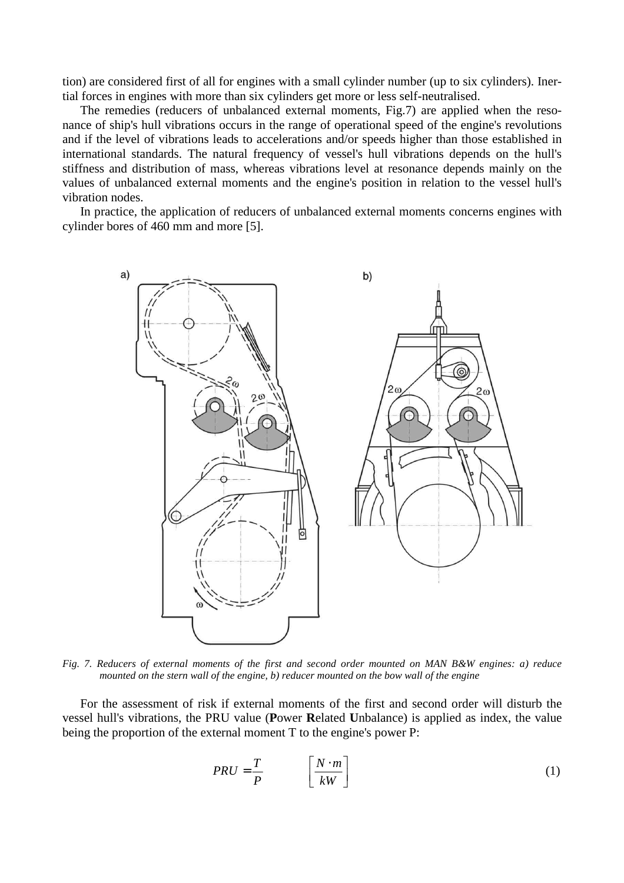tion) are considered first of all for engines with a small cylinder number (up to six cylinders). Inertial forces in engines with more than six cylinders get more or less self-neutralised.

The remedies (reducers of unbalanced external moments, Fig.7) are applied when the resonance of ship's hull vibrations occurs in the range of operational speed of the engine's revolutions and if the level of vibrations leads to accelerations and/or speeds higher than those established in international standards. The natural frequency of vessel's hull vibrations depends on the hull's stiffness and distribution of mass, whereas vibrations level at resonance depends mainly on the values of unbalanced external moments and the engine's position in relation to the vessel hull's vibration nodes.

In practice, the application of reducers of unbalanced external moments concerns engines with cylinder bores of 460 mm and more [5].



*Fig. 7. Reducers of external moments of the first and second order mounted on MAN B&W engines: a) reduce mounted on the stern wall of the engine, b) reducer mounted on the bow wall of the engine* 

For the assessment of risk if external moments of the first and second order will disturb the vessel hull's vibrations, the PRU value (**P**ower **R**elated **U**nbalance) is applied as index, the value being the proportion of the external moment T to the engine's power P:

$$
PRU = \frac{T}{P} \qquad \left[\frac{N \cdot m}{kW}\right] \tag{1}
$$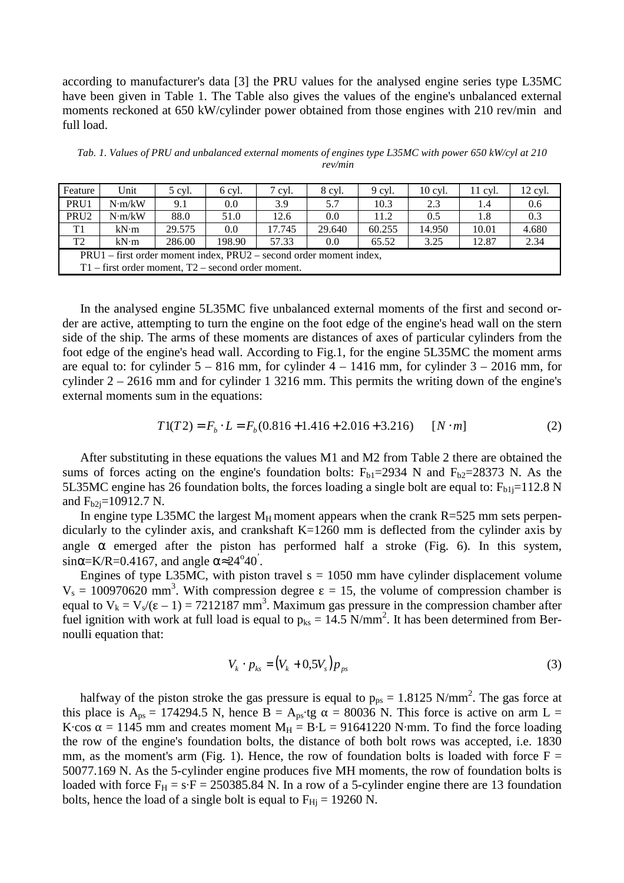according to manufacturer's data [3] the PRU values for the analysed engine series type L35MC have been given in Table 1. The Table also gives the values of the engine's unbalanced external moments reckoned at 650 kW/cylinder power obtained from those engines with 210 rev/min and full load.

*Tab. 1. Values of PRU and unbalanced external moments of engines type L35MC with power 650 kW/cyl at 210 rev/min* 

| Feature                                                            | Unit   | 5 cyl. | 6 cyl. | 7 cyl. | 8 cyl. | 9 cyl. | 10 cyl. | $11$ cyl. | 12 cyl. |
|--------------------------------------------------------------------|--------|--------|--------|--------|--------|--------|---------|-----------|---------|
| PRU1                                                               | N·m/kW | 9.1    | 0.0    | 3.9    | 5.7    | 10.3   | 2.3     | 1.4       | 0.6     |
| PRU <sub>2</sub>                                                   | N·m/kW | 88.0   | 51.0   | 12.6   | 0.0    | 11.2   | 0.5     | 1.8       | 0.3     |
| T1                                                                 | kN·m   | 29.575 | 0.0    | 17.745 | 29.640 | 60.255 | 14.950  | 10.01     | 4.680   |
| T <sub>2</sub>                                                     | kN·m   | 286.00 | 198.90 | 57.33  | 0.0    | 65.52  | 3.25    | 12.87     | 2.34    |
| PRU1 – first order moment index, PRU2 – second order moment index, |        |        |        |        |        |        |         |           |         |
| $T1$ – first order moment, $T2$ – second order moment.             |        |        |        |        |        |        |         |           |         |

In the analysed engine 5L35MC five unbalanced external moments of the first and second order are active, attempting to turn the engine on the foot edge of the engine's head wall on the stern side of the ship. The arms of these moments are distances of axes of particular cylinders from the foot edge of the engine's head wall. According to Fig.1, for the engine 5L35MC the moment arms are equal to: for cylinder  $5 - 816$  mm, for cylinder  $4 - 1416$  mm, for cylinder  $3 - 2016$  mm, for cylinder 2 – 2616 mm and for cylinder 1 3216 mm. This permits the writing down of the engine's external moments sum in the equations:

$$
T1(T2) = F_b \cdot L = F_b(0.816 + 1.416 + 2.016 + 3.216) \qquad [N \cdot m]
$$
 (2)

After substituting in these equations the values M1 and M2 from Table 2 there are obtained the sums of forces acting on the engine's foundation bolts:  $F_{b1}=2934$  N and  $F_{b2}=28373$  N. As the 5L35MC engine has 26 foundation bolts, the forces loading a single bolt are equal to:  $F_{b1j}=112.8$  N and  $F_{b2i}$ =10912.7 N.

In engine type L35MC the largest  $M_H$  moment appears when the crank R=525 mm sets perpendicularly to the cylinder axis, and crankshaft K=1260 mm is deflected from the cylinder axis by angle  $\alpha$  emerged after the piston has performed half a stroke (Fig. 6). In this system, sin $\alpha$ =K/R=0.4167, and angle  $\alpha \approx 24^{\circ}40^{\circ}$ .

Engines of type L35MC, with piston travel  $s = 1050$  mm have cylinder displacement volume V<sub>s</sub> = 100970620 mm<sup>3</sup>. With compression degree ε = 15, the volume of compression chamber is equal to  $V_k = V_s/(\epsilon - 1) = 7212187$  mm<sup>3</sup>. Maximum gas pressure in the compression chamber after fuel ignition with work at full load is equal to  $p_{ks} = 14.5$  N/mm<sup>2</sup>. It has been determined from Bernoulli equation that:

$$
V_k \cdot p_{ks} = (V_k + 0.5V_s)p_{ps} \tag{3}
$$

halfway of the piston stroke the gas pressure is equal to  $p_{ps} = 1.8125$  N/mm<sup>2</sup>. The gas force at this place is  $A_{ps} = 174294.5$  N, hence B =  $A_{ps}$ tg  $\alpha = 80036$  N. This force is active on arm L = K·cos  $\alpha = 1145$  mm and creates moment  $M_H = B \cdot L = 91641220$  N·mm. To find the force loading the row of the engine's foundation bolts, the distance of both bolt rows was accepted, i.e. 1830 mm, as the moment's arm (Fig. 1). Hence, the row of foundation bolts is loaded with force  $F =$ 50077.169 N. As the 5-cylinder engine produces five MH moments, the row of foundation bolts is loaded with force  $F_H = s \cdot F = 250385.84$  N. In a row of a 5-cylinder engine there are 13 foundation bolts, hence the load of a single bolt is equal to  $F_{\text{Hj}} = 19260 \text{ N}$ .